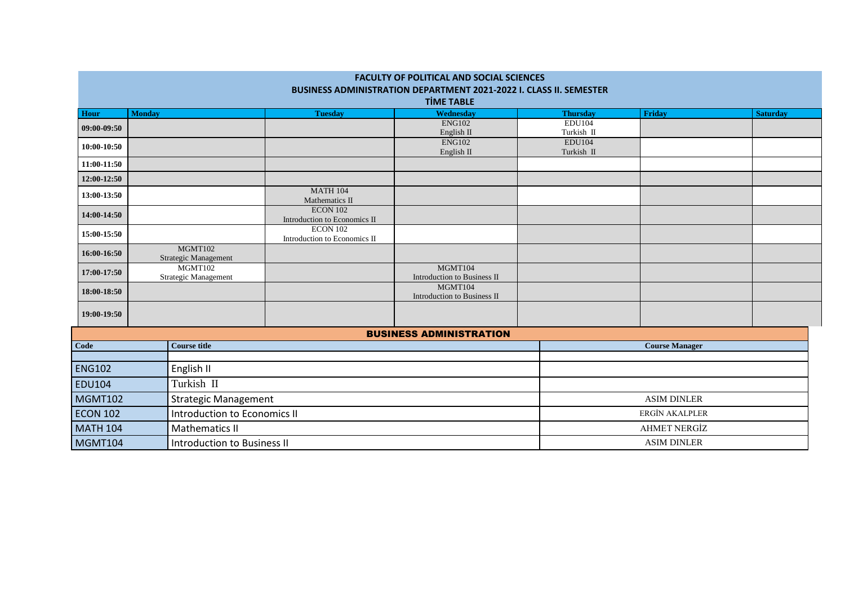| <b>FACULTY OF POLITICAL AND SOCIAL SCIENCES</b><br>BUSINESS ADMINISTRATION DEPARTMENT 2021-2022 I. CLASS II. SEMESTER |                                     |                                        |                                                 |                                        |                             |                       |                 |  |
|-----------------------------------------------------------------------------------------------------------------------|-------------------------------------|----------------------------------------|-------------------------------------------------|----------------------------------------|-----------------------------|-----------------------|-----------------|--|
| <b>TİME TABLE</b>                                                                                                     |                                     |                                        |                                                 |                                        |                             |                       |                 |  |
| <b>Hour</b>                                                                                                           | <b>Monday</b>                       |                                        | <b>Tuesday</b>                                  | Wednesday                              | <b>Thursday</b>             | Friday                | <b>Saturday</b> |  |
| 09:00-09:50                                                                                                           |                                     |                                        |                                                 | <b>ENG102</b><br>English II            | <b>EDU104</b><br>Turkish II |                       |                 |  |
| 10:00-10:50                                                                                                           |                                     |                                        |                                                 | <b>ENG102</b><br>English II            | <b>EDU104</b><br>Turkish II |                       |                 |  |
| 11:00-11:50                                                                                                           |                                     |                                        |                                                 |                                        |                             |                       |                 |  |
| 12:00-12:50                                                                                                           |                                     |                                        |                                                 |                                        |                             |                       |                 |  |
| 13:00-13:50                                                                                                           |                                     |                                        | <b>MATH 104</b><br>Mathematics II               |                                        |                             |                       |                 |  |
| 14:00-14:50                                                                                                           |                                     |                                        | <b>ECON 102</b><br>Introduction to Economics II |                                        |                             |                       |                 |  |
| 15:00-15:50                                                                                                           |                                     |                                        | <b>ECON 102</b><br>Introduction to Economics II |                                        |                             |                       |                 |  |
| 16:00-16:50                                                                                                           |                                     | MGMT102<br><b>Strategic Management</b> |                                                 |                                        |                             |                       |                 |  |
| 17:00-17:50                                                                                                           |                                     | MGMT102<br>Strategic Management        |                                                 | MGMT104<br>Introduction to Business II |                             |                       |                 |  |
| 18:00-18:50                                                                                                           |                                     |                                        |                                                 | MGMT104<br>Introduction to Business II |                             |                       |                 |  |
| 19:00-19:50                                                                                                           |                                     |                                        |                                                 |                                        |                             |                       |                 |  |
|                                                                                                                       |                                     |                                        |                                                 | <b>BUSINESS ADMINISTRATION</b>         |                             |                       |                 |  |
| Code                                                                                                                  |                                     | <b>Course title</b>                    |                                                 |                                        |                             | <b>Course Manager</b> |                 |  |
| <b>ENG102</b>                                                                                                         | English II                          |                                        |                                                 |                                        |                             |                       |                 |  |
| <b>EDU104</b>                                                                                                         | Turkish II                          |                                        |                                                 |                                        |                             |                       |                 |  |
| <b>MGMT102</b>                                                                                                        | <b>Strategic Management</b>         |                                        |                                                 |                                        | <b>ASIM DINLER</b>          |                       |                 |  |
| <b>ECON 102</b>                                                                                                       | <b>Introduction to Economics II</b> |                                        |                                                 |                                        | ERGİN AKALPLER              |                       |                 |  |
| <b>MATH 104</b>                                                                                                       | <b>Mathematics II</b>               |                                        |                                                 |                                        | <b>AHMET NERGİZ</b>         |                       |                 |  |
| <b>MGMT104</b><br><b>Introduction to Business II</b>                                                                  |                                     |                                        |                                                 | <b>ASIM DINLER</b>                     |                             |                       |                 |  |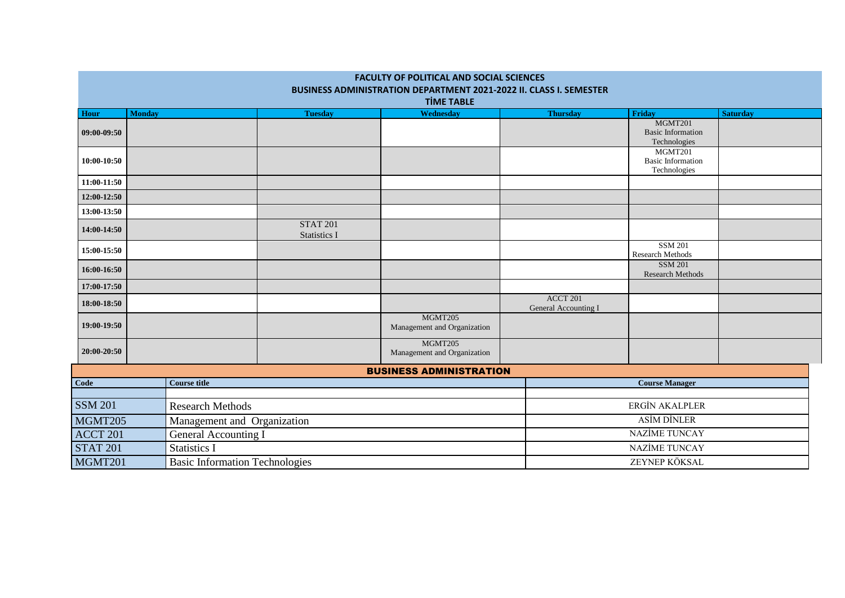| <b>FACULTY OF POLITICAL AND SOCIAL SCIENCES</b>                                                |                                       |                     |                                        |                                         |                                    |                                                     |                 |  |
|------------------------------------------------------------------------------------------------|---------------------------------------|---------------------|----------------------------------------|-----------------------------------------|------------------------------------|-----------------------------------------------------|-----------------|--|
| <b>BUSINESS ADMINISTRATION DEPARTMENT 2021-2022 II. CLASS I. SEMESTER</b><br><b>TİME TABLE</b> |                                       |                     |                                        |                                         |                                    |                                                     |                 |  |
| Hour                                                                                           | <b>Monday</b>                         |                     | <b>Tuesday</b>                         | Wednesday                               | <b>Thursday</b>                    | Friday                                              | <b>Saturday</b> |  |
| 09:00-09:50                                                                                    |                                       |                     |                                        |                                         |                                    | MGMT201<br><b>Basic Information</b><br>Technologies |                 |  |
| 10:00-10:50                                                                                    |                                       |                     |                                        |                                         |                                    | MGMT201<br><b>Basic Information</b><br>Technologies |                 |  |
| 11:00-11:50                                                                                    |                                       |                     |                                        |                                         |                                    |                                                     |                 |  |
| 12:00-12:50                                                                                    |                                       |                     |                                        |                                         |                                    |                                                     |                 |  |
| 13:00-13:50                                                                                    |                                       |                     |                                        |                                         |                                    |                                                     |                 |  |
| 14:00-14:50                                                                                    |                                       |                     | <b>STAT 201</b><br><b>Statistics I</b> |                                         |                                    |                                                     |                 |  |
| 15:00-15:50                                                                                    |                                       |                     |                                        |                                         | <b>SSM 201</b><br>Research Methods |                                                     |                 |  |
| 16:00-16:50                                                                                    |                                       |                     |                                        |                                         |                                    | <b>SSM 201</b><br>Research Methods                  |                 |  |
| 17:00-17:50                                                                                    |                                       |                     |                                        |                                         |                                    |                                                     |                 |  |
| 18:00-18:50                                                                                    |                                       |                     |                                        | <b>ACCT 201</b><br>General Accounting I |                                    |                                                     |                 |  |
| 19:00-19:50                                                                                    |                                       |                     | MGMT205<br>Management and Organization |                                         |                                    |                                                     |                 |  |
| 20:00-20:50                                                                                    |                                       |                     |                                        | MGMT205<br>Management and Organization  |                                    |                                                     |                 |  |
| <b>BUSINESS ADMINISTRATION</b>                                                                 |                                       |                     |                                        |                                         |                                    |                                                     |                 |  |
| Code                                                                                           | <b>Course title</b>                   |                     |                                        |                                         | <b>Course Manager</b>              |                                                     |                 |  |
| <b>SSM 201</b>                                                                                 | <b>Research Methods</b>               |                     |                                        |                                         | ERGİN AKALPLER                     |                                                     |                 |  |
| MGMT205<br>Management and Organization                                                         |                                       |                     |                                        | <b>ASİM DİNLER</b>                      |                                    |                                                     |                 |  |
| ACCT 201<br>General Accounting I                                                               |                                       |                     |                                        | <b>NAZİME TUNCAY</b>                    |                                    |                                                     |                 |  |
| <b>STAT 201</b>                                                                                |                                       | <b>Statistics I</b> |                                        |                                         |                                    | <b>NAZİME TUNCAY</b>                                |                 |  |
| MGMT201                                                                                        | <b>Basic Information Technologies</b> |                     |                                        |                                         | ZEYNEP KÖKSAL                      |                                                     |                 |  |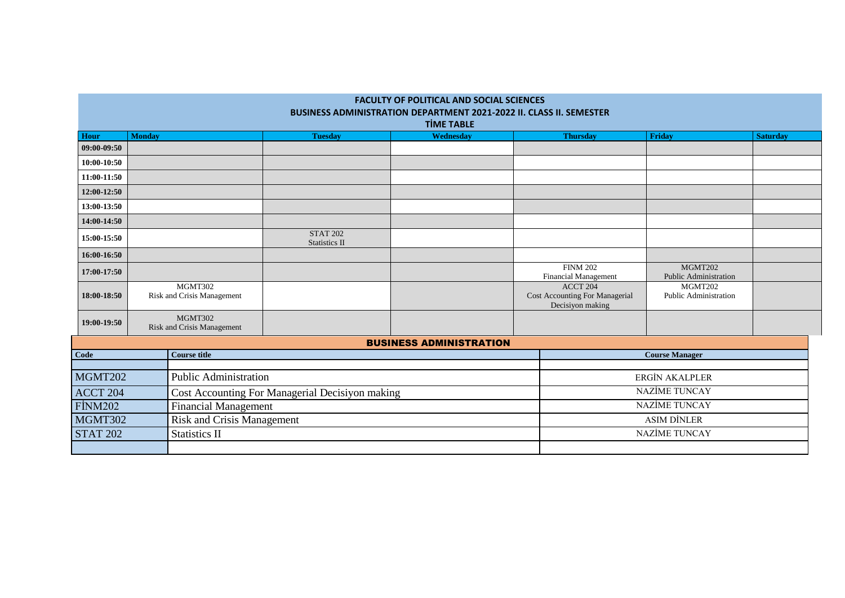| <b>FACULTY OF POLITICAL AND SOCIAL SCIENCES</b><br><b>BUSINESS ADMINISTRATION DEPARTMENT 2021-2022 II. CLASS II. SEMESTER</b><br><b>TIME TABLE</b> |                                                 |  |                                  |                                |                                                                |                                         |                 |
|----------------------------------------------------------------------------------------------------------------------------------------------------|-------------------------------------------------|--|----------------------------------|--------------------------------|----------------------------------------------------------------|-----------------------------------------|-----------------|
| Hour                                                                                                                                               | <b>Monday</b>                                   |  | <b>Tuesday</b>                   | Wednesday                      | <b>Thursday</b>                                                | <b>Friday</b>                           | <b>Saturday</b> |
| 09:00-09:50                                                                                                                                        |                                                 |  |                                  |                                |                                                                |                                         |                 |
| 10:00-10:50                                                                                                                                        |                                                 |  |                                  |                                |                                                                |                                         |                 |
| 11:00-11:50                                                                                                                                        |                                                 |  |                                  |                                |                                                                |                                         |                 |
| 12:00-12:50                                                                                                                                        |                                                 |  |                                  |                                |                                                                |                                         |                 |
| 13:00-13:50                                                                                                                                        |                                                 |  |                                  |                                |                                                                |                                         |                 |
| 14:00-14:50                                                                                                                                        |                                                 |  |                                  |                                |                                                                |                                         |                 |
| 15:00-15:50                                                                                                                                        |                                                 |  | <b>STAT 202</b><br>Statistics II |                                |                                                                |                                         |                 |
| 16:00-16:50                                                                                                                                        |                                                 |  |                                  |                                |                                                                |                                         |                 |
| 17:00-17:50                                                                                                                                        |                                                 |  |                                  |                                | <b>FINM 202</b><br><b>Financial Management</b>                 | MGMT202<br><b>Public Administration</b> |                 |
| 18:00-18:50                                                                                                                                        | MGMT302<br>Risk and Crisis Management           |  |                                  |                                | ACCT 204<br>Cost Accounting For Managerial<br>Decisiyon making | MGMT202<br>Public Administration        |                 |
| 19:00-19:50                                                                                                                                        | MGMT302<br><b>Risk and Crisis Management</b>    |  |                                  |                                |                                                                |                                         |                 |
|                                                                                                                                                    |                                                 |  |                                  | <b>BUSINESS ADMINISTRATION</b> |                                                                |                                         |                 |
| Code                                                                                                                                               | <b>Course title</b>                             |  |                                  |                                | <b>Course Manager</b>                                          |                                         |                 |
| MGMT202                                                                                                                                            | <b>Public Administration</b>                    |  |                                  | <b>ERGİN AKALPLER</b>          |                                                                |                                         |                 |
| ACCT 204                                                                                                                                           | Cost Accounting For Managerial Decisiyon making |  |                                  |                                | <b>NAZİME TUNCAY</b>                                           |                                         |                 |
| <b>FİNM202</b>                                                                                                                                     | <b>Financial Management</b>                     |  |                                  |                                | <b>NAZİME TUNCAY</b>                                           |                                         |                 |
| MGMT302                                                                                                                                            | <b>Risk and Crisis Management</b>               |  |                                  | <b>ASIM DİNLER</b>             |                                                                |                                         |                 |
| <b>STAT 202</b>                                                                                                                                    | <b>Statistics II</b>                            |  |                                  | <b>NAZİME TUNCAY</b>           |                                                                |                                         |                 |
|                                                                                                                                                    |                                                 |  |                                  |                                |                                                                |                                         |                 |